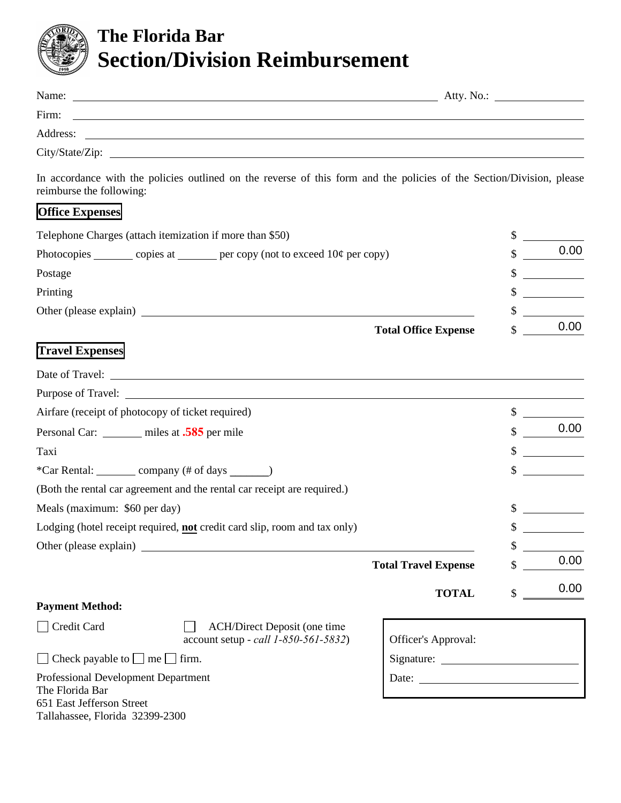

651 East Jefferson Street

Tallahassee, Florida 32399-2300

## **The Florida Bar Section/Division Reimbursement**

| Name: <u>Name:</u> Atty. No.:                                                                                                                                                                                                        |                             |    |      |  |
|--------------------------------------------------------------------------------------------------------------------------------------------------------------------------------------------------------------------------------------|-----------------------------|----|------|--|
| Firm:<br><u> 1989 - Johann Barn, fransk politik fotograf (d. 1989)</u>                                                                                                                                                               |                             |    |      |  |
| Address:                                                                                                                                                                                                                             |                             |    |      |  |
|                                                                                                                                                                                                                                      |                             |    |      |  |
| In accordance with the policies outlined on the reverse of this form and the policies of the Section/Division, please<br>reimburse the following:                                                                                    |                             |    |      |  |
| <b>Office Expenses</b>                                                                                                                                                                                                               |                             |    |      |  |
| Telephone Charges (attach itemization if more than \$50)                                                                                                                                                                             |                             |    |      |  |
| Photocopies ________ copies at _______ per copy (not to exceed $10¢$ per copy)                                                                                                                                                       |                             |    | 0.00 |  |
| Postage                                                                                                                                                                                                                              |                             |    |      |  |
| Printing                                                                                                                                                                                                                             |                             |    |      |  |
| Other (please explain) <u>contract the set of the set of the set of the set of the set of the set of the set of the set of the set of the set of the set of the set of the set of the set of the set of the set of the set of th</u> |                             |    |      |  |
|                                                                                                                                                                                                                                      | <b>Total Office Expense</b> |    | 0.00 |  |
| <b>Travel Expenses</b>                                                                                                                                                                                                               |                             |    |      |  |
|                                                                                                                                                                                                                                      |                             |    |      |  |
|                                                                                                                                                                                                                                      |                             |    |      |  |
| Airfare (receipt of photocopy of ticket required)                                                                                                                                                                                    |                             |    |      |  |
| Personal Car: _______ miles at .585 per mile                                                                                                                                                                                         |                             |    | 0.00 |  |
| Taxi                                                                                                                                                                                                                                 |                             |    |      |  |
| *Car Rental: _________ company (# of days ______)                                                                                                                                                                                    |                             |    |      |  |
| (Both the rental car agreement and the rental car receipt are required.)                                                                                                                                                             |                             |    |      |  |
| Meals (maximum: \$60 per day)                                                                                                                                                                                                        |                             |    |      |  |
| Lodging (hotel receipt required, not credit card slip, room and tax only)                                                                                                                                                            |                             |    |      |  |
| Other (please explain)                                                                                                                                                                                                               |                             | \$ |      |  |
|                                                                                                                                                                                                                                      | <b>Total Travel Expense</b> |    | 0.00 |  |
|                                                                                                                                                                                                                                      | <b>TOTAL</b>                | \$ | 0.00 |  |
| <b>Payment Method:</b>                                                                                                                                                                                                               |                             |    |      |  |
| Credit Card<br><b>ACH/Direct Deposit (one time</b><br>account setup - call 1-850-561-5832)                                                                                                                                           | Officer's Approval:         |    |      |  |
| $\Box$ Check payable to $\Box$ me $\Box$ firm.                                                                                                                                                                                       |                             |    |      |  |
| <b>Professional Development Department</b><br>The Florida Bar                                                                                                                                                                        |                             |    |      |  |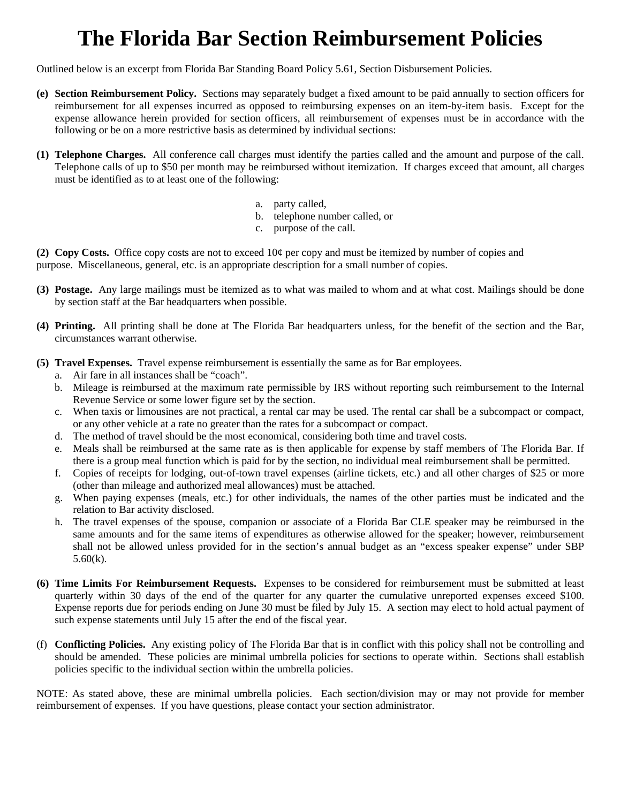# **The Florida Bar Section Reimbursement Policies**

Outlined below is an excerpt from Florida Bar Standing Board Policy 5.61, Section Disbursement Policies.

- **(e) Section Reimbursement Policy.** Sections may separately budget a fixed amount to be paid annually to section officers for reimbursement for all expenses incurred as opposed to reimbursing expenses on an item-by-item basis. Except for the expense allowance herein provided for section officers, all reimbursement of expenses must be in accordance with the following or be on a more restrictive basis as determined by individual sections:
- **(1) Telephone Charges.** All conference call charges must identify the parties called and the amount and purpose of the call. Telephone calls of up to \$50 per month may be reimbursed without itemization. If charges exceed that amount, all charges must be identified as to at least one of the following:
	- a. party called,
	- b. telephone number called, or
	- c. purpose of the call.

 **(2) Copy Costs.** Office copy costs are not to exceed 10¢ per copy and must be itemized by number of copies and purpose. Miscellaneous, general, etc. is an appropriate description for a small number of copies.

- **(3) Postage.** Any large mailings must be itemized as to what was mailed to whom and at what cost. Mailings should be done by section staff at the Bar headquarters when possible.
- **(4) Printing.** All printing shall be done at The Florida Bar headquarters unless, for the benefit of the section and the Bar, circumstances warrant otherwise.
- **(5) Travel Expenses.** Travel expense reimbursement is essentially the same as for Bar employees.
	- a. Air fare in all instances shall be "coach".
	- b. Mileage is reimbursed at the maximum rate permissible by IRS without reporting such reimbursement to the Internal Revenue Service or some lower figure set by the section.
	- c. When taxis or limousines are not practical, a rental car may be used. The rental car shall be a subcompact or compact, or any other vehicle at a rate no greater than the rates for a subcompact or compact.
	- d. The method of travel should be the most economical, considering both time and travel costs.
	- e. Meals shall be reimbursed at the same rate as is then applicable for expense by staff members of The Florida Bar. If there is a group meal function which is paid for by the section, no individual meal reimbursement shall be permitted.
	- f. Copies of receipts for lodging, out-of-town travel expenses (airline tickets, etc.) and all other charges of \$25 or more (other than mileage and authorized meal allowances) must be attached.
	- g. When paying expenses (meals, etc.) for other individuals, the names of the other parties must be indicated and the relation to Bar activity disclosed.
	- same amounts and for the same items of expenditures as otherwise allowed for the speaker; however, reimbursement h. The travel expenses of the spouse, companion or associate of a Florida Bar CLE speaker may be reimbursed in the shall not be allowed unless provided for in the section's annual budget as an "excess speaker expense" under SBP 5.60(k).
- **(6) Time Limits For Reimbursement Requests.** Expenses to be considered for reimbursement must be submitted at least quarterly within 30 days of the end of the quarter for any quarter the cumulative unreported expenses exceed \$100. Expense reports due for periods ending on June 30 must be filed by July 15. A section may elect to hold actual payment of such expense statements until July 15 after the end of the fiscal year.
- (f) **Conflicting Policies.** Any existing policy of The Florida Bar that is in conflict with this policy shall not be controlling and should be amended. These policies are minimal umbrella policies for sections to operate within. Sections shall establish policies specific to the individual section within the umbrella policies.

 NOTE: As stated above, these are minimal umbrella policies. Each section/division may or may not provide for member reimbursement of expenses. If you have questions, please contact your section administrator.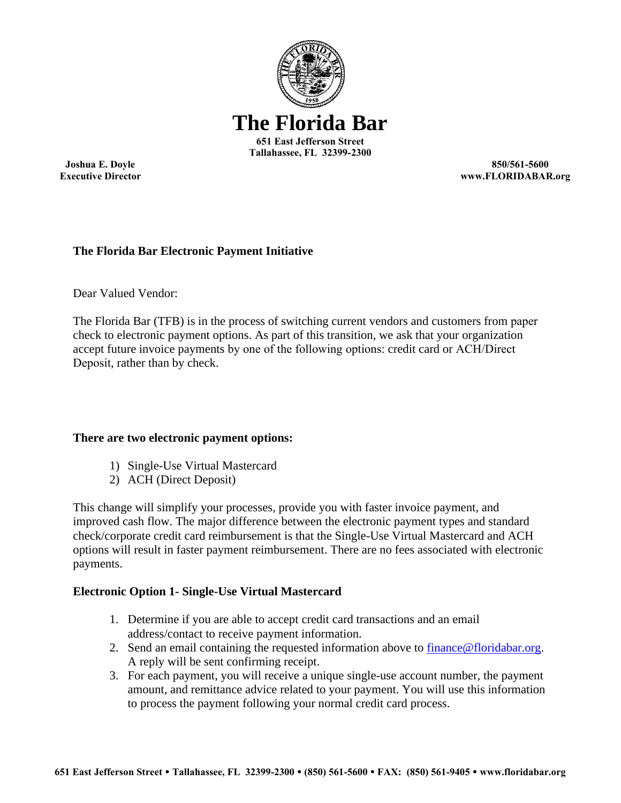

**Joshua E. Doyle Executive Director**

**850/561-5600 www.FLORIDABAR.org**

### **The Florida Bar Electronic Payment Initiative**

Dear Valued Vendor:

The Florida Bar (TFB) is in the process of switching current vendors and customers from paper check to electronic payment options. As part of this transition, we ask that your organization accept future invoice payments by one of the following options: credit card or ACH/Direct Deposit, rather than by check.

#### **There are two electronic payment options:**

- 1) Single-Use Virtual Mastercard
- 2) ACH (Direct Deposit)

This change will simplify your processes, provide you with faster invoice payment, and improved cash flow. The major difference between the electronic payment types and standard check/corporate credit card reimbursement is that the Single-Use Virtual Mastercard and ACH options will result in faster payment reimbursement. There are no fees associated with electronic payments.

#### **Electronic Option 1- Single-Use Virtual Mastercard**

- 1. Determine if you are able to accept credit card transactions and an email address/contact to receive payment information.
- 2. Send an email containing the requested information above to finance@floridabar.org. A reply will be sent confirming receipt.
- 3. For each payment, you will receive a unique single-use account number, the payment amount, and remittance advice related to your payment. You will use this information to process the payment following your normal credit card process.